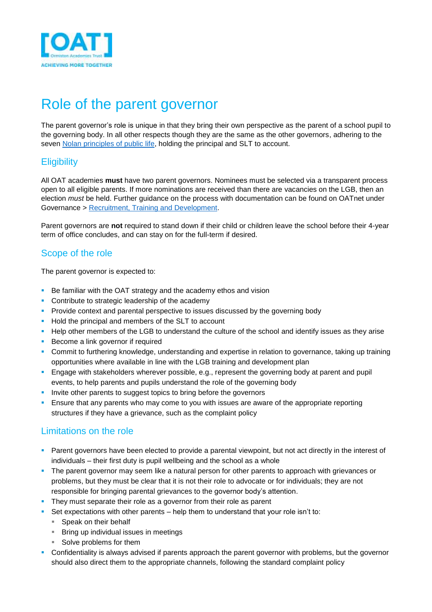

# Role of the parent governor

The parent governor's role is unique in that they bring their own perspective as the parent of a school pupil to the governing body. In all other respects though they are the same as the other governors, adhering to the seven [Nolan principles of public life,](https://www.gov.uk/government/publications/the-7-principles-of-public-life) holding the principal and SLT to account.

# **Eligibility**

All OAT academies **must** have two parent governors. Nominees must be selected via a transparent process open to all eligible parents. If more nominations are received than there are vacancies on the LGB, then an election *must* be held. Further guidance on the process with documentation can be found on OATnet under Governance > [Recruitment, Training and Development.](https://ormistonacademiestrust.sharepoint.com/sites/governance/SitePages/Governor-Recruitment,-Training-&-Development.aspx)

Parent governors are **not** required to stand down if their child or children leave the school before their 4-year term of office concludes, and can stay on for the full-term if desired.

# Scope of the role

The parent governor is expected to:

- Be familiar with the OAT strategy and the academy ethos and vision
- Contribute to strategic leadership of the academy
- **•** Provide context and parental perspective to issues discussed by the governing body
- Hold the principal and members of the SLT to account
- **EXECT** Help other members of the LGB to understand the culture of the school and identify issues as they arise
- Become a link governor if required
- Commit to furthering knowledge, understanding and expertise in relation to governance, taking up training opportunities where available in line with the LGB training and development plan
- **Engage with stakeholders wherever possible, e.g., represent the governing body at parent and pupil** events, to help parents and pupils understand the role of the governing body
- **.** Invite other parents to suggest topics to bring before the governors
- **E** Ensure that any parents who may come to you with issues are aware of the appropriate reporting structures if they have a grievance, such as the complaint policy

# Limitations on the role

- Parent governors have been elected to provide a parental viewpoint, but not act directly in the interest of individuals – their first duty is pupil wellbeing and the school as a whole
- **•** The parent governor may seem like a natural person for other parents to approach with grievances or problems, but they must be clear that it is not their role to advocate or for individuals; they are not responsible for bringing parental grievances to the governor body's attention.
- **•** They must separate their role as a governor from their role as parent
- **•** Set expectations with other parents help them to understand that your role isn't to:
	- Speak on their behalf
	- Bring up individual issues in meetings
	- Solve problems for them
- Confidentiality is always advised if parents approach the parent governor with problems, but the governor should also direct them to the appropriate channels, following the standard complaint policy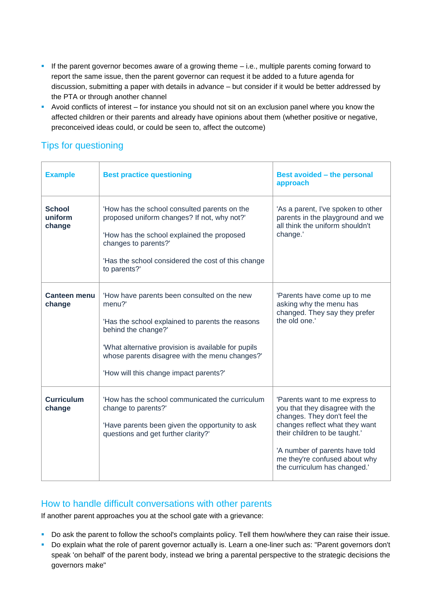- **.** If the parent governor becomes aware of a growing theme i.e., multiple parents coming forward to report the same issue, then the parent governor can request it be added to a future agenda for discussion, submitting a paper with details in advance – but consider if it would be better addressed by the PTA or through another channel
- Avoid conflicts of interest for instance you should not sit on an exclusion panel where you know the affected children or their parents and already have opinions about them (whether positive or negative, preconceived ideas could, or could be seen to, affect the outcome)

# Tips for questioning

| <b>Example</b>                     | <b>Best practice questioning</b>                                                                                                                                                                                                                                                    | <b>Best avoided - the personal</b><br>approach                                                                                                                                                                                                                          |
|------------------------------------|-------------------------------------------------------------------------------------------------------------------------------------------------------------------------------------------------------------------------------------------------------------------------------------|-------------------------------------------------------------------------------------------------------------------------------------------------------------------------------------------------------------------------------------------------------------------------|
| <b>School</b><br>uniform<br>change | 'How has the school consulted parents on the<br>proposed uniform changes? If not, why not?'<br>'How has the school explained the proposed<br>changes to parents?'<br>'Has the school considered the cost of this change<br>to parents?'                                             | 'As a parent, I've spoken to other<br>parents in the playground and we<br>all think the uniform shouldn't<br>change.'                                                                                                                                                   |
| Canteen menu<br>change             | 'How have parents been consulted on the new<br>menu?'<br>'Has the school explained to parents the reasons<br>behind the change?'<br>'What alternative provision is available for pupils<br>whose parents disagree with the menu changes?'<br>'How will this change impact parents?' | 'Parents have come up to me<br>asking why the menu has<br>changed. They say they prefer<br>the old one.'                                                                                                                                                                |
| <b>Curriculum</b><br>change        | 'How has the school communicated the curriculum<br>change to parents?'<br>'Have parents been given the opportunity to ask<br>questions and get further clarity?'                                                                                                                    | 'Parents want to me express to<br>you that they disagree with the<br>changes. They don't feel the<br>changes reflect what they want<br>their children to be taught.'<br>'A number of parents have told<br>me they're confused about why<br>the curriculum has changed." |

# How to handle difficult conversations with other parents

If another parent approaches you at the school gate with a grievance:

- Do ask the parent to follow the school's complaints policy. Tell them how/where they can raise their issue.
- Do explain what the role of parent governor actually is. Learn a one-liner such as: "Parent governors don't speak 'on behalf' of the parent body, instead we bring a parental perspective to the strategic decisions the governors make"